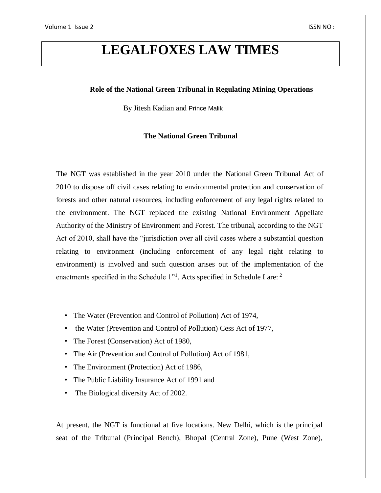# **LEGALFOXES LAW TIMES**

# **Role of the National Green Tribunal in Regulating Mining Operations**

By Jitesh Kadian and Prince Malik

#### **The National Green Tribunal**

The NGT was established in the year 2010 under the National Green Tribunal Act of 2010 to dispose off civil cases relating to environmental protection and conservation of forests and other natural resources, including enforcement of any legal rights related to the environment. The NGT replaced the existing National Environment Appellate Authority of the Ministry of Environment and Forest. The tribunal, according to the NGT Act of 2010, shall have the "jurisdiction over all civil cases where a substantial question relating to environment (including enforcement of any legal right relating to environment) is involved and such question arises out of the implementation of the enactments specified in the Schedule 1"<sup>1</sup>. Acts specified in Schedule I are: <sup>2</sup>

- The Water (Prevention and Control of Pollution) Act of 1974,
- the Water (Prevention and Control of Pollution) Cess Act of 1977,
- The Forest (Conservation) Act of 1980,
- The Air (Prevention and Control of Pollution) Act of 1981,
- The Environment (Protection) Act of 1986,
- The Public Liability Insurance Act of 1991 and
- The Biological diversity Act of 2002.

At present, the NGT is functional at five locations. New Delhi, which is the principal seat of the Tribunal (Principal Bench), Bhopal (Central Zone), Pune (West Zone),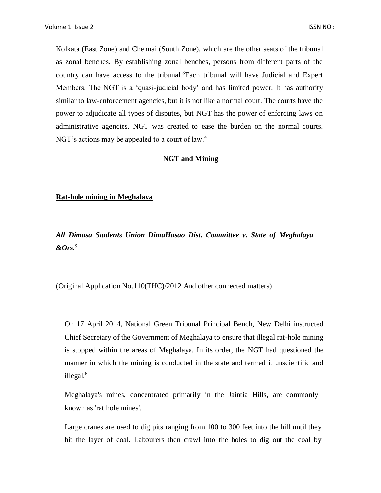Kolkata (East Zone) and Chennai (South Zone), which are the other seats of the tribunal as zonal benches. By establishing zonal benches, persons from different parts of the country can have access to the tribunal.<sup>3</sup>Each tribunal will have Judicial and Expert Members. The NGT is a 'quasi-judicial body' and has limited power. It has authority similar to law-enforcement agencies, but it is not like a normal court. The courts have the power to adjudicate all types of disputes, but NGT has the power of enforcing laws on administrative agencies. NGT was created to ease the burden on the normal courts. NGT's actions may be appealed to a court of law.<sup>4</sup>

# **NGT and Mining**

#### **Rat-hole mining in Meghalaya**

*All Dimasa Students Union DimaHasao Dist. Committee v. State of Meghalaya &Ors.<sup>5</sup>*

(Original Application No.110(THC)/2012 And other connected matters)

On 17 April 2014, National Green Tribunal Principal Bench, New Delhi instructed Chief Secretary of the Government of Meghalaya to ensure that illegal rat-hole mining is stopped within the areas of Meghalaya. In its order, the NGT had questioned the manner in which the mining is conducted in the state and termed it unscientific and illegal.<sup>6</sup>

Meghalaya's mines, concentrated primarily in the Jaintia Hills, are commonly known as 'rat hole mines'.

Large cranes are used to dig pits ranging from 100 to 300 feet into the hill until they hit the layer of coal. Labourers then crawl into the holes to dig out the coal by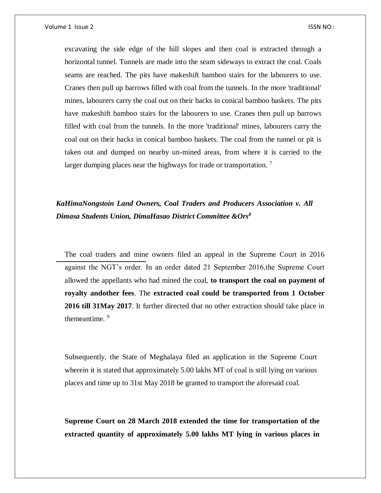Volume 1 Issue 2 ISSN NO :

excavating the side edge of the hill slopes and then coal is extracted through a horizontal tunnel. Tunnels are made into the seam sideways to extract the coal. Coals seams are reached. The pits have makeshift bamboo stairs for the labourers to use. Cranes then pull up barrows filled with coal from the tunnels. In the more 'traditional' mines, labourers carry the coal out on their backs in conical bamboo baskets. The pits have makeshift bamboo stairs for the labourers to use. Cranes then pull up barrows filled with coal from the tunnels. In the more 'traditional' mines, labourers carry the coal out on their backs in conical bamboo baskets. The coal from the tunnel or pit is taken out and dumped on nearby un-mined areas, from where it is carried to the larger dumping places near the highways for trade or transportation.  $7$ 

*KaHimaNongstoin Land Owners, Coal Traders and Producers Association v. All Dimasa Students Union, DimaHasao District Committee &Ors<sup>8</sup>*

The coal traders and mine owners filed an appeal in the Supreme Court in 2016 against the NGT's order. In an order dated 21 September 2016,the Supreme Court allowed the appellants who had mined the coal, **to transport the coal on payment of royalty andother fees**. The **extracted coal could be transported from 1 October 2016 till 31May 2017**. It further directed that no other extraction should take place in themeantime.<sup>9</sup>

Subsequently, the State of Meghalaya filed an application in the Supreme Court wherein it is stated that approximately 5.00 lakhs MT of coal is still lying on various places and time up to 31st May 2018 be granted to transport the aforesaid coal.

**Supreme Court on 28 March 2018 extended the time for transportation of the extracted quantity of approximately 5.00 lakhs MT lying in various places in**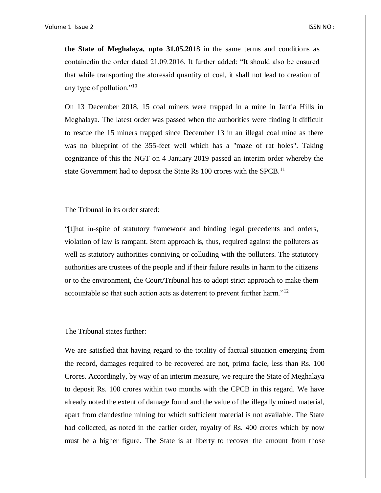**the State of Meghalaya, upto 31.05.20**18 in the same terms and conditions as containedin the order dated 21.09.2016. It further added: "It should also be ensured that while transporting the aforesaid quantity of coal, it shall not lead to creation of any type of pollution."<sup>10</sup>

On 13 December 2018, 15 coal miners were trapped in a mine in Jantia Hills in Meghalaya. The latest order was passed when the authorities were finding it difficult to rescue the 15 miners trapped since December 13 in an illegal coal mine as there was no blueprint of the 355-feet well which has a "maze of rat holes". Taking cognizance of this the NGT on 4 January 2019 passed an interim order whereby the state Government had to deposit the State Rs 100 crores with the SPCB.<sup>11</sup>

The Tribunal in its order stated:

"[t]hat in-spite of statutory framework and binding legal precedents and orders, violation of law is rampant. Stern approach is, thus, required against the polluters as well as statutory authorities conniving or colluding with the polluters. The statutory authorities are trustees of the people and if their failure results in harm to the citizens or to the environment, the Court/Tribunal has to adopt strict approach to make them accountable so that such action acts as deterrent to prevent further harm."<sup>12</sup>

The Tribunal states further:

We are satisfied that having regard to the totality of factual situation emerging from the record, damages required to be recovered are not, prima facie, less than Rs. 100 Crores. Accordingly, by way of an interim measure, we require the State of Meghalaya to deposit Rs. 100 crores within two months with the CPCB in this regard. We have already noted the extent of damage found and the value of the illegally mined material, apart from clandestine mining for which sufficient material is not available. The State had collected, as noted in the earlier order, royalty of Rs. 400 crores which by now must be a higher figure. The State is at liberty to recover the amount from those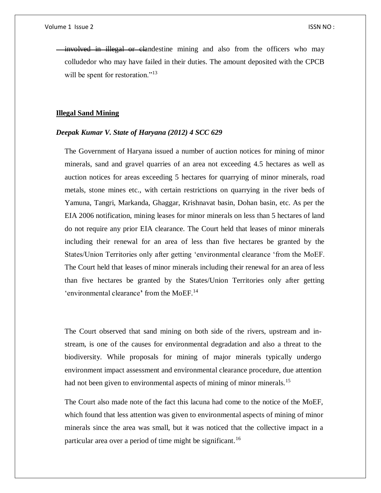involved in illegal or clandestine mining and also from the officers who may colludedor who may have failed in their duties. The amount deposited with the CPCB will be spent for restoration."<sup>13</sup>

#### **Illegal Sand Mining**

#### *Deepak Kumar V. State of Haryana (2012) 4 SCC 629*

The Government of Haryana issued a number of auction notices for mining of minor minerals, sand and gravel quarries of an area not exceeding 4.5 hectares as well as auction notices for areas exceeding 5 hectares for quarrying of minor minerals, road metals, stone mines etc., with certain restrictions on quarrying in the river beds of Yamuna, Tangri, Markanda, Ghaggar, Krishnavat basin, Dohan basin, etc. As per the EIA 2006 notification, mining leases for minor minerals on less than 5 hectares of land do not require any prior EIA clearance. The Court held that leases of minor minerals including their renewal for an area of less than five hectares be granted by the States/Union Territories only after getting 'environmental clearance 'from the MoEF. The Court held that leases of minor minerals including their renewal for an area of less than five hectares be granted by the States/Union Territories only after getting 'environmental clearance**'** from the MoEF.<sup>14</sup>

The Court observed that sand mining on both side of the rivers, upstream and instream, is one of the causes for environmental degradation and also a threat to the biodiversity. While proposals for mining of major minerals typically undergo environment impact assessment and environmental clearance procedure, due attention had not been given to environmental aspects of mining of minor minerals.<sup>15</sup>

The Court also made note of the fact this lacuna had come to the notice of the MoEF, which found that less attention was given to environmental aspects of mining of minor minerals since the area was small, but it was noticed that the collective impact in a particular area over a period of time might be significant.<sup>16</sup>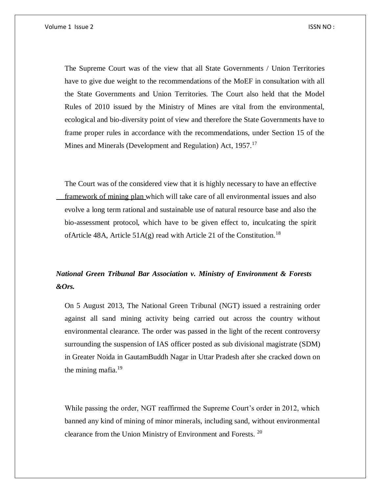The Supreme Court was of the view that all State Governments / Union Territories have to give due weight to the recommendations of the MoEF in consultation with all the State Governments and Union Territories. The Court also held that the Model Rules of 2010 issued by the Ministry of Mines are vital from the environmental, ecological and bio-diversity point of view and therefore the State Governments have to frame proper rules in accordance with the recommendations, under Section 15 of the Mines and Minerals (Development and Regulation) Act, 1957.<sup>17</sup>

The Court was of the considered view that it is highly necessary to have an effective framework of mining plan which will take care of all environmental issues and also evolve a long term rational and sustainable use of natural resource base and also the bio-assessment protocol, which have to be given effect to, inculcating the spirit of Article 48A, Article 51A(g) read with Article 21 of the Constitution.<sup>18</sup>

# *National Green Tribunal Bar Association v. Ministry of Environment & Forests &Ors.*

On 5 August 2013, The National Green Tribunal (NGT) issued a restraining order against all sand mining activity being carried out across the country without environmental clearance. The order was passed in the light of the recent controversy surrounding the suspension of IAS officer posted as sub divisional magistrate (SDM) in Greater Noida in GautamBuddh Nagar in Uttar Pradesh after she cracked down on the mining mafia.<sup>19</sup>

While passing the order, NGT reaffirmed the Supreme Court's order in 2012, which banned any kind of mining of minor minerals, including sand, without environmental clearance from the Union Ministry of Environment and Forests. <sup>20</sup>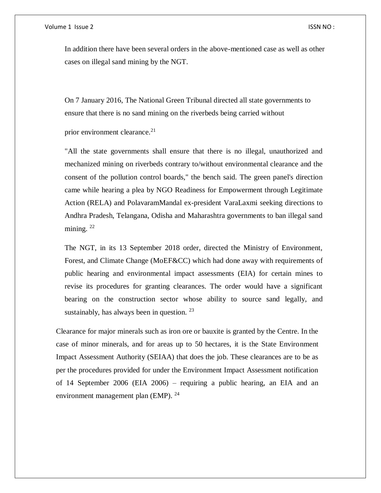In addition there have been several orders in the above-mentioned case as well as other cases on illegal sand mining by the NGT.

On 7 January 2016, The National Green Tribunal directed all state governments to ensure that there is no sand mining on the riverbeds being carried without

prior environment clearance.<sup>21</sup>

"All the state governments shall ensure that there is no illegal, unauthorized and mechanized mining on riverbeds contrary to/without environmental clearance and the consent of the pollution control boards," the bench said. The green panel's direction came while hearing a plea by NGO Readiness for Empowerment through Legitimate Action (RELA) and PolavaramMandal ex-president VaraLaxmi seeking directions to Andhra Pradesh, Telangana, Odisha and Maharashtra governments to ban illegal sand mining.  $^{22}$ 

The NGT, in its 13 September 2018 order, directed the Ministry of Environment, Forest, and Climate Change (MoEF&CC) which had done away with requirements of public hearing and environmental impact assessments (EIA) for certain mines to revise its procedures for granting clearances. The order would have a significant bearing on the construction sector whose ability to source sand legally, and sustainably, has always been in question.  $23$ 

Clearance for major minerals such as iron ore or bauxite is granted by the Centre. In the case of minor minerals, and for areas up to 50 hectares, it is the State Environment Impact Assessment Authority (SEIAA) that does the job. These clearances are to be as per the procedures provided for under the Environment Impact Assessment notification of 14 September 2006 (EIA 2006) – requiring a public hearing, an EIA and an environment management plan (EMP). <sup>24</sup>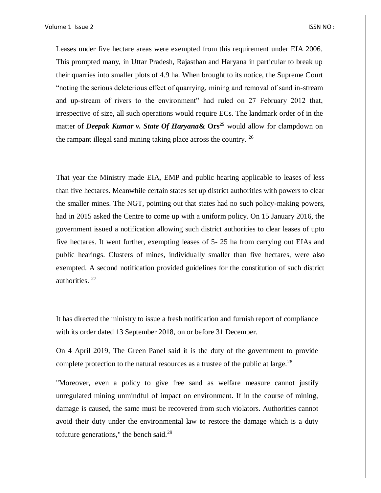Leases under five hectare areas were exempted from this requirement under EIA 2006. This prompted many, in Uttar Pradesh, Rajasthan and Haryana in particular to break up their quarries into smaller plots of 4.9 ha. When brought to its notice, the Supreme Court "noting the serious deleterious effect of quarrying, mining and removal of sand in-stream and up-stream of rivers to the environment" had ruled on 27 February 2012 that, irrespective of size, all such operations would require ECs. The landmark order of in the matter of *Deepak Kumar v. State Of Haryana***& Ors<sup>25</sup>** would allow for clampdown on the rampant illegal sand mining taking place across the country.  $^{26}$ 

That year the Ministry made EIA, EMP and public hearing applicable to leases of less than five hectares. Meanwhile certain states set up district authorities with powers to clear the smaller mines. The NGT, pointing out that states had no such policy-making powers, had in 2015 asked the Centre to come up with a uniform policy. On 15 January 2016, the government issued a notification allowing such district authorities to clear leases of upto five hectares. It went further, exempting leases of 5- 25 ha from carrying out EIAs and public hearings. Clusters of mines, individually smaller than five hectares, were also exempted. A second notification provided guidelines for the constitution of such district authorities.<sup>27</sup>

It has directed the ministry to issue a fresh notification and furnish report of compliance with its order dated 13 September 2018, on or before 31 December.

On 4 April 2019, The Green Panel said it is the duty of the government to provide complete protection to the natural resources as a trustee of the public at large.<sup>28</sup>

"Moreover, even a policy to give free sand as welfare measure cannot justify unregulated mining unmindful of impact on environment. If in the course of mining, damage is caused, the same must be recovered from such violators. Authorities cannot avoid their duty under the environmental law to restore the damage which is a duty tofuture generations," the bench said. $29$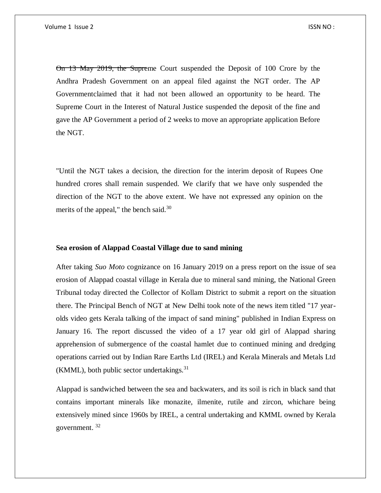On 13 May 2019, the Supreme Court suspended the Deposit of 100 Crore by the Andhra Pradesh Government on an appeal filed against the NGT order. The AP Governmentclaimed that it had not been allowed an opportunity to be heard. The Supreme Court in the Interest of Natural Justice suspended the deposit of the fine and gave the AP Government a period of 2 weeks to move an appropriate application Before the NGT.

"Until the NGT takes a decision, the direction for the interim deposit of Rupees One hundred crores shall remain suspended. We clarify that we have only suspended the direction of the NGT to the above extent. We have not expressed any opinion on the merits of the appeal," the bench said. $30$ 

# **Sea erosion of Alappad Coastal Village due to sand mining**

After taking *Suo Moto* cognizance on 16 January 2019 on a press report on the issue of sea erosion of Alappad coastal village in Kerala due to mineral sand mining, the National Green Tribunal today directed the Collector of Kollam District to submit a report on the situation there. The Principal Bench of NGT at New Delhi took note of the news item titled "17 yearolds video gets Kerala talking of the impact of sand mining" published in Indian Express on January 16. The report discussed the video of a 17 year old girl of Alappad sharing apprehension of submergence of the coastal hamlet due to continued mining and dredging operations carried out by Indian Rare Earths Ltd (IREL) and Kerala Minerals and Metals Ltd  $(KMML)$ , both public sector undertakings.<sup>31</sup>

Alappad is sandwiched between the sea and backwaters, and its soil is rich in black sand that contains important minerals like monazite, ilmenite, rutile and zircon, whichare being extensively mined since 1960s by IREL, a central undertaking and KMML owned by Kerala government. <sup>32</sup>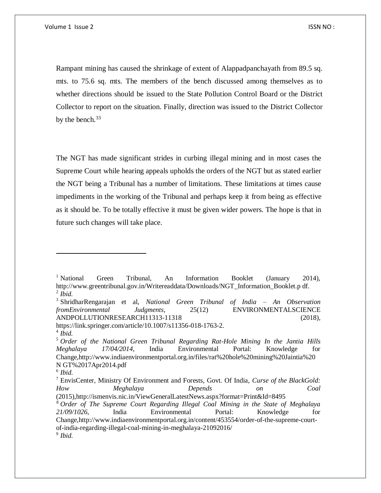Rampant mining has caused the shrinkage of extent of Alappadpanchayath from 89.5 sq. mts. to 75.6 sq. mts. The members of the bench discussed among themselves as to whether directions should be issued to the State Pollution Control Board or the District Collector to report on the situation. Finally, direction was issued to the District Collector by the bench.<sup>33</sup>

The NGT has made significant strides in curbing illegal mining and in most cases the Supreme Court while hearing appeals upholds the orders of the NGT but as stated earlier the NGT being a Tribunal has a number of limitations. These limitations at times cause impediments in the working of the Tribunal and perhaps keep it from being as effective as it should be. To be totally effective it must be given wider powers. The hope is that in future such changes will take place.

https://link.springer.com/article/10.1007/s11356-018-1763-2.

<sup>&</sup>lt;sup>1</sup> National Green Tribunal, An Information Booklet (January 2014), http://www.greentribunal.gov.in/Writereaddata/Downloads/NGT\_Information\_Booklet.p df. 2 *Ibid.*

<sup>3</sup> ShridharRengarajan et al, *National Green Tribunal of India – An Observation fromEnvironmental Judgments*, 25(12) ENVIRONMENTALSCIENCE ANDPOLLUTIONRESEARCH11313-11318 (2018),

<sup>4</sup> *Ibid.*

<sup>5</sup> *Order of the National Green Tribunal Regarding Rat-Hole Mining In the Jantia Hills Meghalaya 17/04/2014*, India Environmental Portal: Knowledge for Change,http://www.indiaenvironmentportal.org.in/files/rat%20hole%20mining%20Jaintia%20 N GT%2017Apr2014.pdf

<sup>6</sup> *Ibid.*

<sup>7</sup> EnvisCenter, Ministry Of Environment and Forests, Govt. Of India, *Curse of the BlackGold: How Meghalaya Depends on Coal*  (2015),http://ismenvis.nic.in/ViewGeneralLatestNews.aspx?format=Print&Id=8495

<sup>8</sup> *Order of The Supreme Court Regarding Illegal Coal Mining in the State of Meghalaya 21/09/1026*, India Environmental Portal: Knowledge for Change,http://www.indiaenvironmentportal.org.in/content/453554/order-of-the-supreme-courtof-india-regarding-illegal-coal-mining-in-meghalaya-21092016/ 9 *Ibid.*